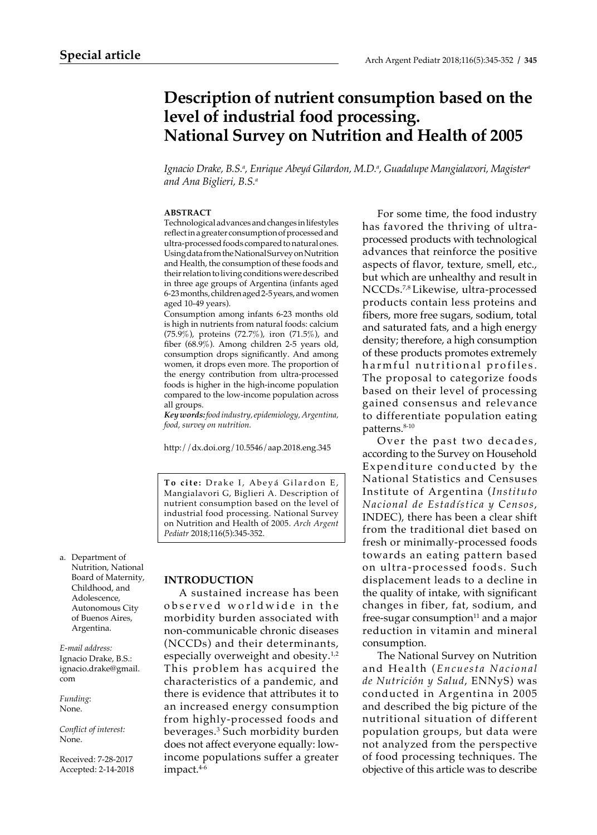# **Description of nutrient consumption based on the level of industrial food processing. National Survey on Nutrition and Health of 2005**

Ignacio Drake, B.S.ª, Enrique Abeyá Gilardon, M.D.ª, Guadalupe Mangialavori, Magisterª *and Ana Biglieri, B.S.a*

### **ABSTRACT**

Technological advances and changes in lifestyles reflect in a greater consumption of processed and ultra-processed foods compared to natural ones. Using data from the National Survey on Nutrition and Health, the consumption of these foods and their relation to living conditions were described in three age groups of Argentina (infants aged 6-23 months, children aged 2-5 years, and women aged 10-49 years).

Consumption among infants 6-23 months old is high in nutrients from natural foods: calcium (75.9%), proteins (72.7%), iron (71.5%), and fiber (68.9%). Among children 2-5 years old, consumption drops significantly. And among women, it drops even more. The proportion of the energy contribution from ultra-processed foods is higher in the high-income population compared to the low-income population across all groups.

*Key words: food industry, epidemiology, Argentina, food, survey on nutrition.*

http://dx.doi.org/10.5546/aap.2018.eng.345

To cite: Drake I, Abeyá Gilardon E, Mangialavori G, Biglieri A. Description of nutrient consumption based on the level of industrial food processing. National Survey on Nutrition and Health of 2005. *Arch Argent Pediatr* 2018;116(5):345-352.

a. Department of Nutrition, National Board of Maternity, Childhood, and Adolescence, Autonomous City of Buenos Aires, Argentina.

*E-mail address:* Ignacio Drake, B.S.: ignacio.drake@gmail. com

*Funding*: None.

*Conflict of interest:*  None.

Received: 7-28-2017 Accepted: 2-14-2018

# **INTRODUCTION**

A sustained increase has been observed worldwide in the morbidity burden associated with non-communicable chronic diseases (NCCDs) and their determinants, especially overweight and obesity.<sup>1,2</sup> This problem has acquired the characteristics of a pandemic, and there is evidence that attributes it to an increased energy consumption from highly-processed foods and beverages.3 Such morbidity burden does not affect everyone equally: lowincome populations suffer a greater impact.4-6

For some time, the food industry has favored the thriving of ultraprocessed products with technological advances that reinforce the positive aspects of flavor, texture, smell, etc., but which are unhealthy and result in NCCDs.7,8 Likewise, ultra-processed products contain less proteins and fibers, more free sugars, sodium, total and saturated fats, and a high energy density; therefore, a high consumption of these products promotes extremely harmful nutritional profiles. The proposal to categorize foods based on their level of processing gained consensus and relevance to differentiate population eating patterns.8-10

Over the past two decades, according to the Survey on Household Expenditure conducted by the National Statistics and Censuses Institute of Argentina (*Instituto Nacional de Estadística y Censos*, INDEC), there has been a clear shift from the traditional diet based on fresh or minimally-processed foods towards an eating pattern based on ultra-processed foods. Such displacement leads to a decline in the quality of intake, with significant changes in fiber, fat, sodium, and free-sugar consumption $11$  and a major reduction in vitamin and mineral consumption.

The National Survey on Nutrition and Health (*Encuesta Nacional de Nutrición y Salud*, ENNyS) was conducted in Argentina in 2005 and described the big picture of the nutritional situation of different population groups, but data were not analyzed from the perspective of food processing techniques. The objective of this article was to describe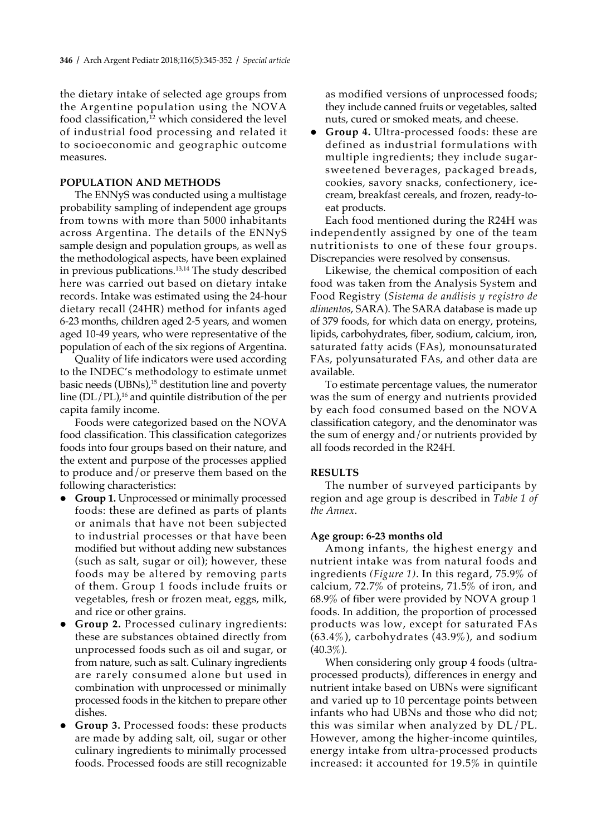the dietary intake of selected age groups from the Argentine population using the NOVA food classification, $^{12}$  which considered the level of industrial food processing and related it to socioeconomic and geographic outcome measures.

# **POPULATION AND METHODS**

The ENNyS was conducted using a multistage probability sampling of independent age groups from towns with more than 5000 inhabitants across Argentina. The details of the ENNyS sample design and population groups, as well as the methodological aspects, have been explained in previous publications.13,14 The study described here was carried out based on dietary intake records. Intake was estimated using the 24-hour dietary recall (24HR) method for infants aged 6-23 months, children aged 2-5 years, and women aged 10-49 years, who were representative of the population of each of the six regions of Argentina.

Quality of life indicators were used according to the INDEC's methodology to estimate unmet basic needs (UBNs),<sup>15</sup> destitution line and poverty line  $(DL/PL)$ ,<sup>16</sup> and quintile distribution of the per capita family income.

Foods were categorized based on the NOVA food classification. This classification categorizes foods into four groups based on their nature, and the extent and purpose of the processes applied to produce and/or preserve them based on the following characteristics:

- **Group 1.** Unprocessed or minimally processed foods: these are defined as parts of plants or animals that have not been subjected to industrial processes or that have been modified but without adding new substances (such as salt, sugar or oil); however, these foods may be altered by removing parts of them. Group 1 foods include fruits or vegetables, fresh or frozen meat, eggs, milk, and rice or other grains.
- **Group 2.** Processed culinary ingredients: these are substances obtained directly from unprocessed foods such as oil and sugar, or from nature, such as salt. Culinary ingredients are rarely consumed alone but used in combination with unprocessed or minimally processed foods in the kitchen to prepare other dishes.
- **Group 3.** Processed foods: these products are made by adding salt, oil, sugar or other culinary ingredients to minimally processed foods. Processed foods are still recognizable

as modified versions of unprocessed foods; they include canned fruits or vegetables, salted nuts, cured or smoked meats, and cheese.

**• Group 4.** Ultra-processed foods: these are defined as industrial formulations with multiple ingredients; they include sugarsweetened beverages, packaged breads, cookies, savory snacks, confectionery, icecream, breakfast cereals, and frozen, ready-toeat products.

Each food mentioned during the R24H was independently assigned by one of the team nutritionists to one of these four groups. Discrepancies were resolved by consensus.

Likewise, the chemical composition of each food was taken from the Analysis System and Food Registry (*Sistema de análisis y registro de alimentos*, SARA). The SARA database is made up of 379 foods, for which data on energy, proteins, lipids, carbohydrates, fiber, sodium, calcium, iron, saturated fatty acids (FAs), monounsaturated FAs, polyunsaturated FAs, and other data are available.

To estimate percentage values, the numerator was the sum of energy and nutrients provided by each food consumed based on the NOVA classification category, and the denominator was the sum of energy and/or nutrients provided by all foods recorded in the R24H.

## **RESULTS**

The number of surveyed participants by region and age group is described in *Table 1 of the Annex*.

#### **Age group: 6-23 months old**

Among infants, the highest energy and nutrient intake was from natural foods and ingredients *(Figure 1)*. In this regard, 75.9% of calcium, 72.7% of proteins, 71.5% of iron, and 68.9% of fiber were provided by NOVA group 1 foods. In addition, the proportion of processed products was low, except for saturated FAs  $(63.4\%)$ , carbohydrates  $(43.9\%)$ , and sodium  $(40.3\%)$ .

When considering only group 4 foods (ultraprocessed products), differences in energy and nutrient intake based on UBNs were significant and varied up to 10 percentage points between infants who had UBNs and those who did not; this was similar when analyzed by DL/PL. However, among the higher-income quintiles, energy intake from ultra-processed products increased: it accounted for 19.5% in quintile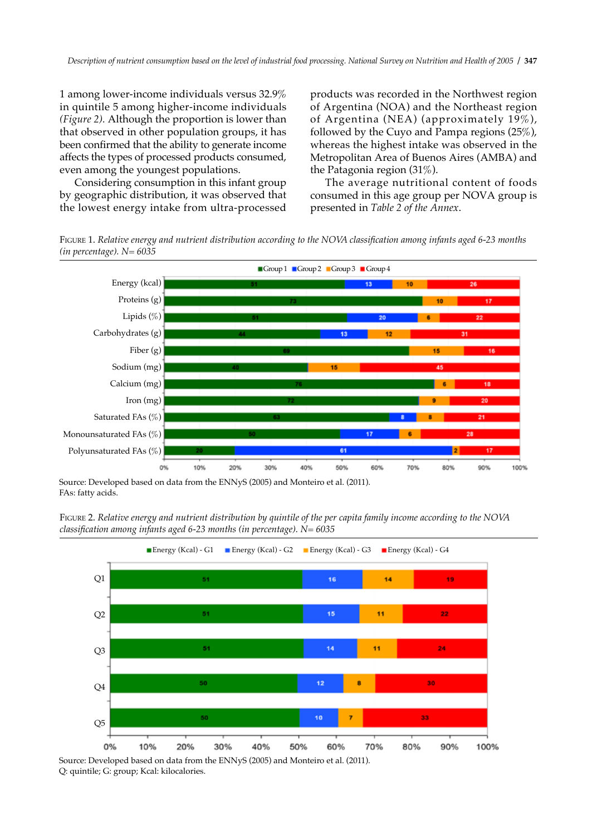1 among lower-income individuals versus 32.9% in quintile 5 among higher-income individuals *(Figure 2).* Although the proportion is lower than that observed in other population groups, it has been confirmed that the ability to generate income affects the types of processed products consumed, even among the youngest populations.

Considering consumption in this infant group by geographic distribution, it was observed that the lowest energy intake from ultra-processed products was recorded in the Northwest region of Argentina (NOA) and the Northeast region of Argentina (NEA) (approximately  $19\%$ ), followed by the Cuyo and Pampa regions (25%), whereas the highest intake was observed in the Metropolitan Area of Buenos Aires (AMBA) and the Patagonia region (31%).

The average nutritional content of foods consumed in this age group per NOVA group is presented in *Table 2 of the Annex*.

Figure 1. *Relative energy and nutrient distribution according to the NOVA classification among infants aged 6-23 months (in percentage). N= 6035*



Source: Developed based on data from the ENNyS (2005) and Monteiro et al. (2011). FAs: fatty acids.

Figure 2. *Relative energy and nutrient distribution by quintile of the per capita family income according to the NOVA classification among infants aged 6-23 months (in percentage). N= 6035*



Source: Developed based on data from the ENNyS (2005) and Monteiro et al. (2011). Q: quintile; G: group; Kcal: kilocalories.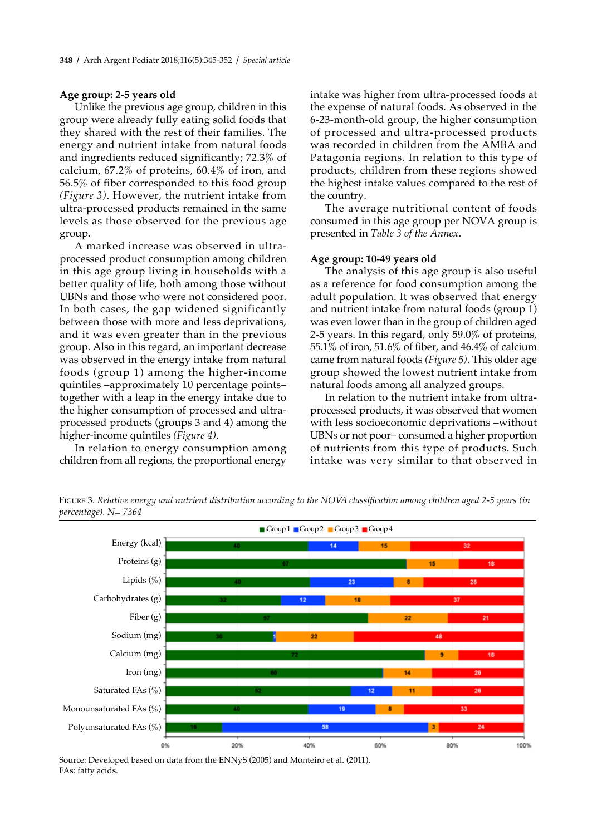# **Age group: 2-5 years old**

Unlike the previous age group, children in this group were already fully eating solid foods that they shared with the rest of their families. The energy and nutrient intake from natural foods and ingredients reduced significantly; 72.3% of calcium, 67.2% of proteins, 60.4% of iron, and 56.5% of fiber corresponded to this food group *(Figure 3)*. However, the nutrient intake from ultra-processed products remained in the same levels as those observed for the previous age group.

A marked increase was observed in ultraprocessed product consumption among children in this age group living in households with a better quality of life, both among those without UBNs and those who were not considered poor. In both cases, the gap widened significantly between those with more and less deprivations, and it was even greater than in the previous group. Also in this regard, an important decrease was observed in the energy intake from natural foods (group 1) among the higher-income quintiles –approximately 10 percentage points– together with a leap in the energy intake due to the higher consumption of processed and ultraprocessed products (groups 3 and 4) among the higher-income quintiles *(Figure 4)*.

In relation to energy consumption among children from all regions, the proportional energy intake was higher from ultra-processed foods at the expense of natural foods. As observed in the 6-23-month-old group, the higher consumption of processed and ultra-processed products was recorded in children from the AMBA and Patagonia regions. In relation to this type of products, children from these regions showed the highest intake values compared to the rest of the country.

The average nutritional content of foods consumed in this age group per NOVA group is presented in *Table 3 of the Annex*.

# **Age group: 10-49 years old**

The analysis of this age group is also useful as a reference for food consumption among the adult population. It was observed that energy and nutrient intake from natural foods (group 1) was even lower than in the group of children aged 2-5 years. In this regard, only 59.0% of proteins, 55.1% of iron, 51.6% of fiber, and 46.4% of calcium came from natural foods *(Figure 5)*. This older age group showed the lowest nutrient intake from natural foods among all analyzed groups.

In relation to the nutrient intake from ultraprocessed products, it was observed that women with less socioeconomic deprivations –without UBNs or not poor– consumed a higher proportion of nutrients from this type of products. Such intake was very similar to that observed in

Figure 3. *Relative energy and nutrient distribution according to the NOVA classification among children aged 2-5 years (in percentage). N= 7364*



Source: Developed based on data from the ENNyS (2005) and Monteiro et al. (2011). FAs: fatty acids.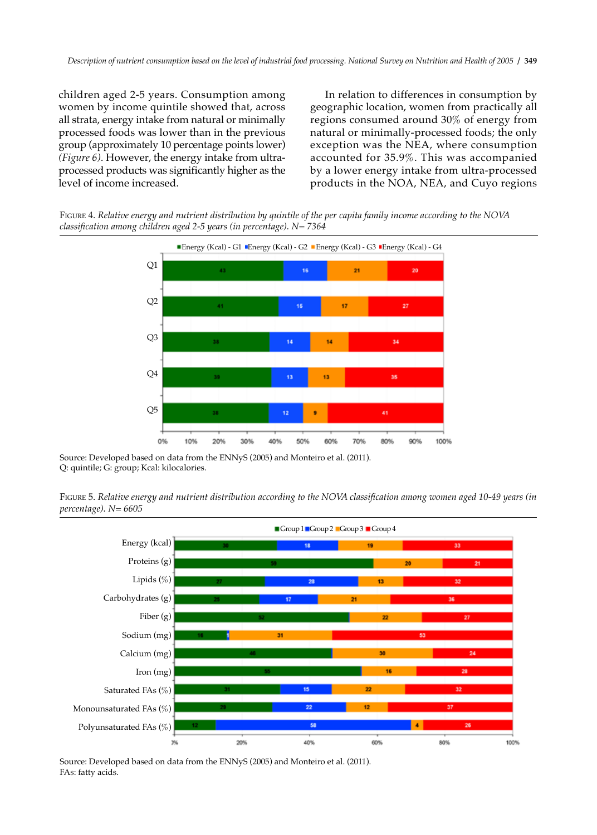children aged 2-5 years. Consumption among women by income quintile showed that, across all strata, energy intake from natural or minimally processed foods was lower than in the previous group (approximately 10 percentage points lower) *(Figure 6)*. However, the energy intake from ultraprocessed products was significantly higher as the level of income increased.

In relation to differences in consumption by geographic location, women from practically all regions consumed around 30% of energy from natural or minimally-processed foods; the only exception was the NEA, where consumption accounted for 35.9%. This was accompanied by a lower energy intake from ultra-processed products in the NOA, NEA, and Cuyo regions

Figure 4. *Relative energy and nutrient distribution by quintile of the per capita family income according to the NOVA classification among children aged 2-5 years (in percentage). N= 7364*



Source: Developed based on data from the ENNyS (2005) and Monteiro et al. (2011). Q: quintile; G: group; Kcal: kilocalories.

Figure 5. *Relative energy and nutrient distribution according to the NOVA classification among women aged 10-49 years (in percentage). N= 6605*



Source: Developed based on data from the ENNyS (2005) and Monteiro et al. (2011). FAs: fatty acids.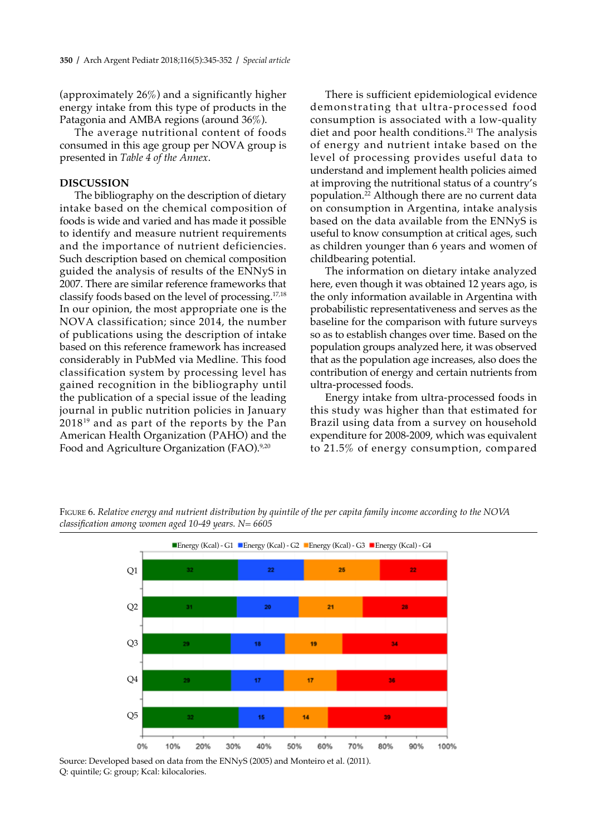(approximately 26%) and a significantly higher energy intake from this type of products in the Patagonia and AMBA regions (around 36%).

The average nutritional content of foods consumed in this age group per NOVA group is presented in *Table 4 of the Annex*.

### **DISCUSSION**

The bibliography on the description of dietary intake based on the chemical composition of foods is wide and varied and has made it possible to identify and measure nutrient requirements and the importance of nutrient deficiencies. Such description based on chemical composition guided the analysis of results of the ENNyS in 2007. There are similar reference frameworks that classify foods based on the level of processing.17,18 In our opinion, the most appropriate one is the NOVA classification; since 2014, the number of publications using the description of intake based on this reference framework has increased considerably in PubMed via Medline. This food classification system by processing level has gained recognition in the bibliography until the publication of a special issue of the leading journal in public nutrition policies in January 201819 and as part of the reports by the Pan American Health Organization (PAHO) and the Food and Agriculture Organization (FAO).<sup>9,20</sup>

There is sufficient epidemiological evidence demonstrating that ultra-processed food consumption is associated with a low-quality diet and poor health conditions.<sup>21</sup> The analysis of energy and nutrient intake based on the level of processing provides useful data to understand and implement health policies aimed at improving the nutritional status of a country's population.22 Although there are no current data on consumption in Argentina, intake analysis based on the data available from the ENNyS is useful to know consumption at critical ages, such as children younger than 6 years and women of childbearing potential.

The information on dietary intake analyzed here, even though it was obtained 12 years ago, is the only information available in Argentina with probabilistic representativeness and serves as the baseline for the comparison with future surveys so as to establish changes over time. Based on the population groups analyzed here, it was observed that as the population age increases, also does the contribution of energy and certain nutrients from ultra-processed foods.

Energy intake from ultra-processed foods in this study was higher than that estimated for Brazil using data from a survey on household expenditure for 2008-2009, which was equivalent to 21.5% of energy consumption, compared

Figure 6. *Relative energy and nutrient distribution by quintile of the per capita family income according to the NOVA classification among women aged 10-49 years. N= 6605*



Source: Developed based on data from the ENNyS (2005) and Monteiro et al. (2011). Q: quintile; G: group; Kcal: kilocalories.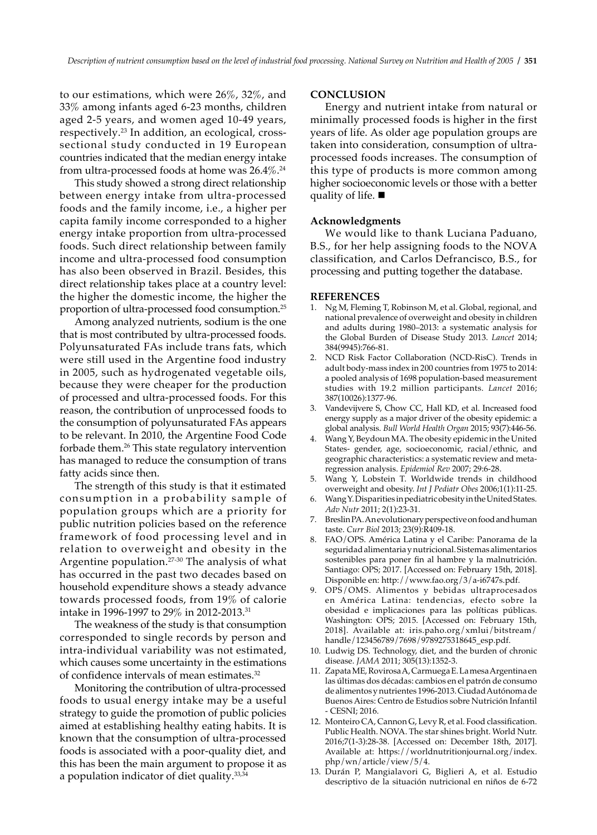to our estimations, which were 26%, 32%, and 33% among infants aged 6-23 months, children aged 2-5 years, and women aged 10-49 years, respectively.23 In addition, an ecological, crosssectional study conducted in 19 European countries indicated that the median energy intake from ultra-processed foods at home was 26.4%.<sup>24</sup>

This study showed a strong direct relationship between energy intake from ultra-processed foods and the family income, i.e., a higher per capita family income corresponded to a higher energy intake proportion from ultra-processed foods. Such direct relationship between family income and ultra-processed food consumption has also been observed in Brazil. Besides, this direct relationship takes place at a country level: the higher the domestic income, the higher the proportion of ultra-processed food consumption.25

Among analyzed nutrients, sodium is the one that is most contributed by ultra-processed foods. Polyunsaturated FAs include trans fats, which were still used in the Argentine food industry in 2005, such as hydrogenated vegetable oils, because they were cheaper for the production of processed and ultra-processed foods. For this reason, the contribution of unprocessed foods to the consumption of polyunsaturated FAs appears to be relevant. In 2010, the Argentine Food Code forbade them.26 This state regulatory intervention has managed to reduce the consumption of trans fatty acids since then.

The strength of this study is that it estimated consumption in a probability sample of population groups which are a priority for public nutrition policies based on the reference framework of food processing level and in relation to overweight and obesity in the Argentine population.<sup>27-30</sup> The analysis of what has occurred in the past two decades based on household expenditure shows a steady advance towards processed foods, from 19% of calorie intake in 1996-1997 to 29% in 2012-2013.31

The weakness of the study is that consumption corresponded to single records by person and intra-individual variability was not estimated, which causes some uncertainty in the estimations of confidence intervals of mean estimates.<sup>32</sup>

Monitoring the contribution of ultra-processed foods to usual energy intake may be a useful strategy to guide the promotion of public policies aimed at establishing healthy eating habits. It is known that the consumption of ultra-processed foods is associated with a poor-quality diet, and this has been the main argument to propose it as a population indicator of diet quality.33,34

## **CONCLUSION**

Energy and nutrient intake from natural or minimally processed foods is higher in the first years of life. As older age population groups are taken into consideration, consumption of ultraprocessed foods increases. The consumption of this type of products is more common among higher socioeconomic levels or those with a better quality of life.  $\blacksquare$ 

### **Acknowledgments**

We would like to thank Luciana Paduano, B.S., for her help assigning foods to the NOVA classification, and Carlos Defrancisco, B.S., for processing and putting together the database.

#### **REFERENCES**

- 1. Ng M, Fleming T, Robinson M, et al. Global, regional, and national prevalence of overweight and obesity in children and adults during 1980–2013: a systematic analysis for the Global Burden of Disease Study 2013. *Lancet* 2014; 384(9945):766-81.
- 2. NCD Risk Factor Collaboration (NCD-RisC). Trends in adult body-mass index in 200 countries from 1975 to 2014: a pooled analysis of 1698 population-based measurement studies with 19.2 million participants. *Lancet* 2016; 387(10026):1377-96.
- 3. Vandevijvere S, Chow CC, Hall KD, et al. Increased food energy supply as a major driver of the obesity epidemic: a global analysis. *Bull World Health Organ* 2015; 93(7):446-56.
- 4. Wang Y, Beydoun MA. The obesity epidemic in the United States- gender, age, socioeconomic, racial/ethnic, and geographic characteristics: a systematic review and metaregression analysis. *Epidemiol Rev* 2007; 29:6-28.
- 5. Wang Y, Lobstein T. Worldwide trends in childhood overweight and obesity. *Int J Pediatr Obes* 2006;1(1):11-25.
- 6. Wang Y. Disparities in pediatric obesity in the United States. *Adv Nutr* 2011; 2(1):23-31.
- 7. Breslin PA. An evolutionary perspective on food and human taste. *Curr Biol* 2013; 23(9):R409-18.
- 8. FAO/OPS. América Latina y el Caribe: Panorama de la seguridad alimentaria y nutricional. Sistemas alimentarios sostenibles para poner fin al hambre y la malnutrición. Santiago: OPS; 2017. [Accessed on: February 15th, 2018]. Disponible en: http://www.fao.org/3/a-i6747s.pdf.
- 9. OPS/OMS. Alimentos y bebidas ultraprocesados en América Latina: tendencias, efecto sobre la obesidad e implicaciones para las políticas públicas. Washington: OPS; 2015. [Accessed on: February 15th, 2018]. Available at: iris.paho.org/xmlui/bitstream/ handle/123456789/7698/9789275318645\_esp.pdf.
- 10. Ludwig DS. Technology, diet, and the burden of chronic disease. *JAMA* 2011; 305(13):1352-3.
- 11. Zapata ME, Rovirosa A, Carmuega E. La mesa Argentina en las últimas dos décadas: cambios en el patrón de consumo de alimentos y nutrientes 1996-2013. Ciudad Autónoma de Buenos Aires: Centro de Estudios sobre Nutrición Infantil - CESNI; 2016.
- 12. Monteiro CA, Cannon G, Levy R, et al. Food classification. Public Health. NOVA. The star shines bright. World Nutr. 2016;7(1-3):28-38. [Accessed on: December 18th, 2017]. Available at: https://worldnutritionjournal.org/index. php/wn/article/view/5/4.
- 13. Durán P, Mangialavori G, Biglieri A, et al. Estudio descriptivo de la situación nutricional en niños de 6-72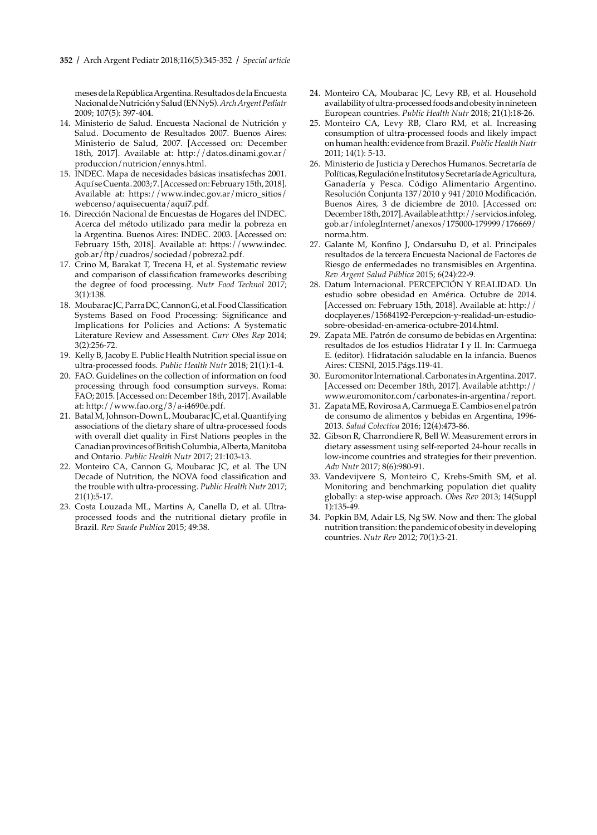meses de la República Argentina. Resultados de la Encuesta Nacional de Nutrición y Salud (ENNyS). *Arch Argent Pediatr* 2009; 107(5): 397-404.

- 14. Ministerio de Salud. Encuesta Nacional de Nutrición y Salud. Documento de Resultados 2007. Buenos Aires: Ministerio de Salud, 2007. [Accessed on: December 18th, 2017]. Available at: http://datos.dinami.gov.ar/ produccion/nutricion/ennys.html.
- 15. INDEC. Mapa de necesidades básicas insatisfechas 2001. Aquí se Cuenta. 2003; 7. [Accessed on: February 15th, 2018]. Available at: https://www.indec.gov.ar/micro\_sitios/ webcenso/aquisecuenta/aqui7.pdf.
- 16. Dirección Nacional de Encuestas de Hogares del INDEC. Acerca del método utilizado para medir la pobreza en la Argentina. Buenos Aires: INDEC. 2003. [Accessed on: February 15th, 2018]. Available at: https://www.indec. gob.ar/ftp/cuadros/sociedad/pobreza2.pdf.
- 17. Crino M, Barakat T, Trecena H, et al. Systematic review and comparison of classification frameworks describing the degree of food processing. *Nutr Food Technol* 2017; 3(1):138.
- 18. Moubarac JC, Parra DC, Cannon G, et al. Food Classification Systems Based on Food Processing: Significance and Implications for Policies and Actions: A Systematic Literature Review and Assessment. *Curr Obes Rep* 2014; 3(2):256-72.
- 19. Kelly B, Jacoby E. Public Health Nutrition special issue on ultra-processed foods. *Public Health Nutr* 2018; 21(1):1-4.
- 20. FAO. Guidelines on the collection of information on food processing through food consumption surveys. Roma: FAO; 2015. [Accessed on: December 18th, 2017]. Available at: http://www.fao.org/3/a-i4690e.pdf.
- 21. Batal M, Johnson-Down L, Moubarac JC, et al. Quantifying associations of the dietary share of ultra-processed foods with overall diet quality in First Nations peoples in the Canadian provinces of British Columbia, Alberta, Manitoba and Ontario. *Public Health Nutr* 2017; 21:103-13.
- 22. Monteiro CA, Cannon G, Moubarac JC, et al. The UN Decade of Nutrition, the NOVA food classification and the trouble with ultra-processing. *Public Health Nutr* 2017; 21(1):5-17.
- 23. Costa Louzada ML, Martins A, Canella D, et al. Ultraprocessed foods and the nutritional dietary profile in Brazil. *Rev Saude Publica* 2015; 49:38.
- 24. Monteiro CA, Moubarac JC, Levy RB, et al. Household availability of ultra-processed foods and obesity in nineteen European countries. *Public Health Nutr* 2018; 21(1):18-26.
- 25. Monteiro CA, Levy RB, Claro RM, et al. Increasing consumption of ultra-processed foods and likely impact on human health: evidence from Brazil. *Public Health Nutr*  2011; 14(1): 5-13.
- 26. Ministerio de Justicia y Derechos Humanos. Secretaría de Políticas, Regulación e Institutos y Secretaría de Agricultura, Ganadería y Pesca. Código Alimentario Argentino. Resolución Conjunta 137/2010 y 941/2010 Modificación. Buenos Aires, 3 de diciembre de 2010. [Accessed on: December 18th, 2017]. Available at:http://servicios.infoleg. gob.ar/infolegInternet/anexos/175000-179999/176669/ norma.htm.
- 27. Galante M, Konfino J, Ondarsuhu D, et al. Principales resultados de la tercera Encuesta Nacional de Factores de Riesgo de enfermedades no transmisibles en Argentina. *Rev Argent Salud Pública* 2015; 6(24):22-9.
- 28. Datum Internacional. PERCEPCIÓN Y REALIDAD. Un estudio sobre obesidad en América. Octubre de 2014. [Accessed on: February 15th, 2018]. Available at: http:// docplayer.es/15684192-Percepcion-y-realidad-un-estudiosobre-obesidad-en-america-octubre-2014.html.
- 29. Zapata ME. Patrón de consumo de bebidas en Argentina: resultados de los estudios Hidratar I y II. In: Carmuega E. (editor). Hidratación saludable en la infancia. Buenos Aires: CESNI, 2015.Págs.119-41.
- 30. Euromonitor International. Carbonates in Argentina. 2017. [Accessed on: December 18th, 2017]. Available at:http:// www.euromonitor.com/carbonates-in-argentina/report.
- 31. Zapata ME, Rovirosa A, Carmuega E. Cambios en el patrón de consumo de alimentos y bebidas en Argentina, 1996- 2013. *Salud Colectiva* 2016; 12(4):473-86.
- 32. Gibson R, Charrondiere R, Bell W. Measurement errors in dietary assessment using self-reported 24-hour recalls in low-income countries and strategies for their prevention. *Adv Nutr* 2017; 8(6):980-91.
- 33. Vandevijvere S, Monteiro C, Krebs-Smith SM, et al. Monitoring and benchmarking population diet quality globally: a step-wise approach. *Obes Rev* 2013; 14(Suppl 1):135-49.
- 34. Popkin BM, Adair LS, Ng SW. Now and then: The global nutrition transition: the pandemic of obesity in developing countries. *Nutr Rev* 2012; 70(1):3-21.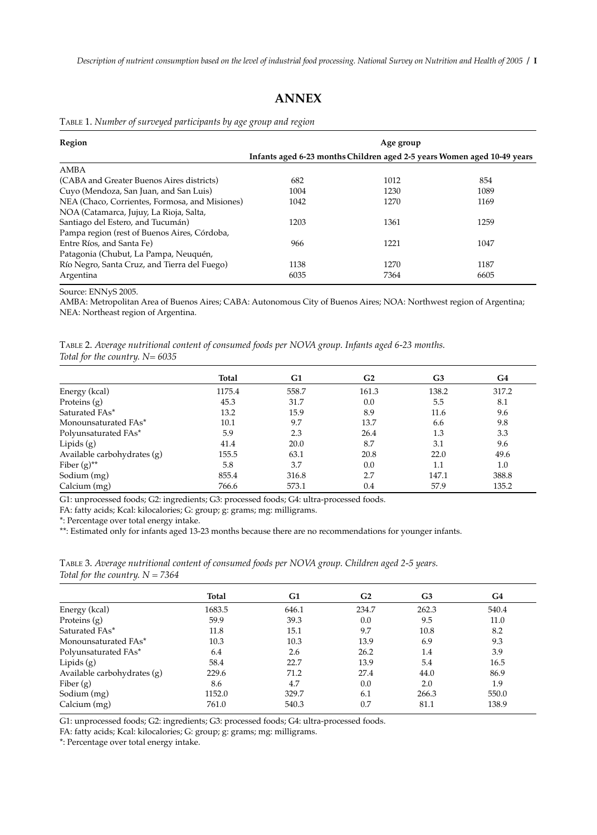# **ANNEX**

Table 1. *Number of surveyed participants by age group and region*

| Region                                         | Age group |                                                                         |      |  |  |
|------------------------------------------------|-----------|-------------------------------------------------------------------------|------|--|--|
|                                                |           | Infants aged 6-23 months Children aged 2-5 years Women aged 10-49 years |      |  |  |
| AMBA                                           |           |                                                                         |      |  |  |
| (CABA and Greater Buenos Aires districts)      | 682       | 1012                                                                    | 854  |  |  |
| Cuyo (Mendoza, San Juan, and San Luis)         | 1004      | 1230                                                                    | 1089 |  |  |
| NEA (Chaco, Corrientes, Formosa, and Misiones) | 1042      | 1270                                                                    | 1169 |  |  |
| NOA (Catamarca, Jujuy, La Rioja, Salta,        |           |                                                                         |      |  |  |
| Santiago del Estero, and Tucumán)              | 1203      | 1361                                                                    | 1259 |  |  |
| Pampa region (rest of Buenos Aires, Córdoba,   |           |                                                                         |      |  |  |
| Entre Ríos, and Santa Fe)                      | 966       | 1221                                                                    | 1047 |  |  |
| Patagonia (Chubut, La Pampa, Neuquén,          |           |                                                                         |      |  |  |
| Río Negro, Santa Cruz, and Tierra del Fuego)   | 1138      | 1270                                                                    | 1187 |  |  |
| Argentina                                      | 6035      | 7364                                                                    | 6605 |  |  |

Source: ENNyS 2005.

AMBA: Metropolitan Area of Buenos Aires; CABA: Autonomous City of Buenos Aires; NOA: Northwest region of Argentina; NEA: Northeast region of Argentina.

| TABLE 2. Average nutritional content of consumed foods per NOVA group. Infants aged 6-23 months. |  |  |  |  |
|--------------------------------------------------------------------------------------------------|--|--|--|--|
| Total for the country. $N = 6035$                                                                |  |  |  |  |

|                             | Total  | G1    | G2    | G3    | G4    |
|-----------------------------|--------|-------|-------|-------|-------|
| Energy (kcal)               | 1175.4 | 558.7 | 161.3 | 138.2 | 317.2 |
| Proteins $(g)$              | 45.3   | 31.7  | 0.0   | 5.5   | 8.1   |
| Saturated FAs*              | 13.2   | 15.9  | 8.9   | 11.6  | 9.6   |
| Monounsaturated FAs*        | 10.1   | 9.7   | 13.7  | 6.6   | 9.8   |
| Polyunsaturated FAs*        | 5.9    | 2.3   | 26.4  | 1.3   | 3.3   |
| Lipids $(g)$                | 41.4   | 20.0  | 8.7   | 3.1   | 9.6   |
| Available carbohydrates (g) | 155.5  | 63.1  | 20.8  | 22.0  | 49.6  |
| Fiber $(g)$ <sup>**</sup>   | 5.8    | 3.7   | 0.0   | 1.1   | 1.0   |
| Sodium (mg)                 | 855.4  | 316.8 | 2.7   | 147.1 | 388.8 |
| Calcium (mg)                | 766.6  | 573.1 | 0.4   | 57.9  | 135.2 |

G1: unprocessed foods; G2: ingredients; G3: processed foods; G4: ultra-processed foods.

FA: fatty acids; Kcal: kilocalories; G: group; g: grams; mg: milligrams.

\*: Percentage over total energy intake.

\*\*: Estimated only for infants aged 13-23 months because there are no recommendations for younger infants.

Table 3. *Average nutritional content of consumed foods per NOVA group. Children aged 2-5 years. Total for the country. N = 7364*

|                             | Total  | G1    | G <sub>2</sub> | G3    | G4    |
|-----------------------------|--------|-------|----------------|-------|-------|
| Energy (kcal)               | 1683.5 | 646.1 | 234.7          | 262.3 | 540.4 |
| Proteins $(g)$              | 59.9   | 39.3  | 0.0            | 9.5   | 11.0  |
| Saturated FAs*              | 11.8   | 15.1  | 9.7            | 10.8  | 8.2   |
| Monounsaturated FAs*        | 10.3   | 10.3  | 13.9           | 6.9   | 9.3   |
| Polyunsaturated FAs*        | 6.4    | 2.6   | 26.2           | 1.4   | 3.9   |
| Lipids $(g)$                | 58.4   | 22.7  | 13.9           | 5.4   | 16.5  |
| Available carbohydrates (g) | 229.6  | 71.2  | 27.4           | 44.0  | 86.9  |
| Fiber $(g)$                 | 8.6    | 4.7   | 0.0            | 2.0   | 1.9   |
| Sodium (mg)                 | 1152.0 | 329.7 | 6.1            | 266.3 | 550.0 |
| Calcium (mg)                | 761.0  | 540.3 | 0.7            | 81.1  | 138.9 |

G1: unprocessed foods; G2: ingredients; G3: processed foods; G4: ultra-processed foods.

FA: fatty acids; Kcal: kilocalories; G: group; g: grams; mg: milligrams.

\*: Percentage over total energy intake.